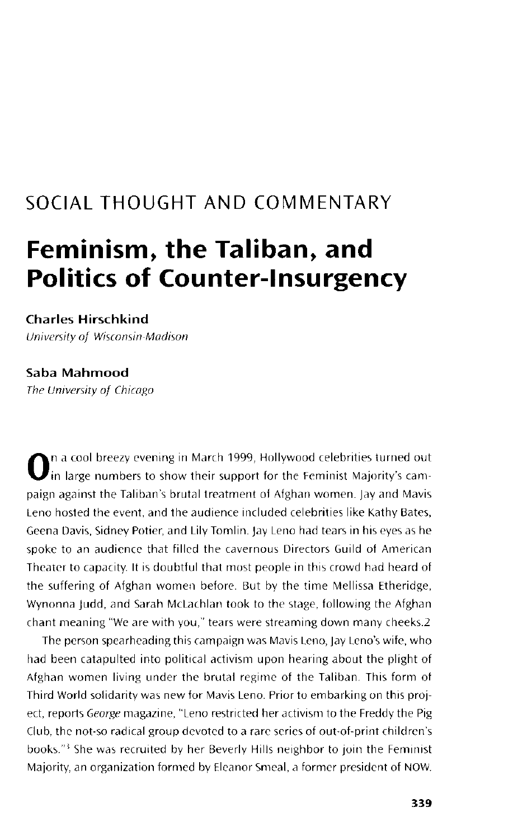# SOCIAL THOUGHT AND COMMENTARY

# Feminism, the Taliban, and Politics of Counter-Insurgency

**Charles Hirschkind**

University of Wisconsin-Madison

**Saba Mahmood**

The University of Chicago

 $\mathbf{O}$ n a cool breezy evening in Marcb 1999, Hollywood celebrities turned out in large numbers to sbow tbeir support for tbe Feminist Majority's campaign against the Taliban's brutal treatment of Afghan women. Jay and Mavis Leno bosted tbe event, and tbe audience included celebrities like Katby Bates, Geena Davis, Sidney Potier, and Lily Tomlin, Jay Leno bad tears in his eyes as be spoke to an audience that filled the cavernous Directors Guild of American Theater to capacity. It is doubtful that most people in this crowd had heard of the suffering of Afghan women before. But by the time Mellissa Etheridge, Wynonna Judd, and Sarah McLachlan took to the stage, following the Afghan chant meaning "We are with you," tears were streaming down many cheeks.2

Tbe person spearheading tbis campaign was Mavis Leno, jay Leno's wife, wbo had been catapulted into political activism upon hearing about the plight of Afghan women living under the brutal regime of the Taliban. This form of Tbird World solidarity was new for Mavis Leno, Prior to embarking on this project, reports George magazine, "Leno restricted her activism to the Freddy the Pig Club, tbe not-so radical group devoted to a rare series of out-of-print children's books."<sup>3</sup> She was recruited by her Beverly Hills neighbor to join the Feminist Majority, an organization formed by Eleanor Smeal, a former president of NOW.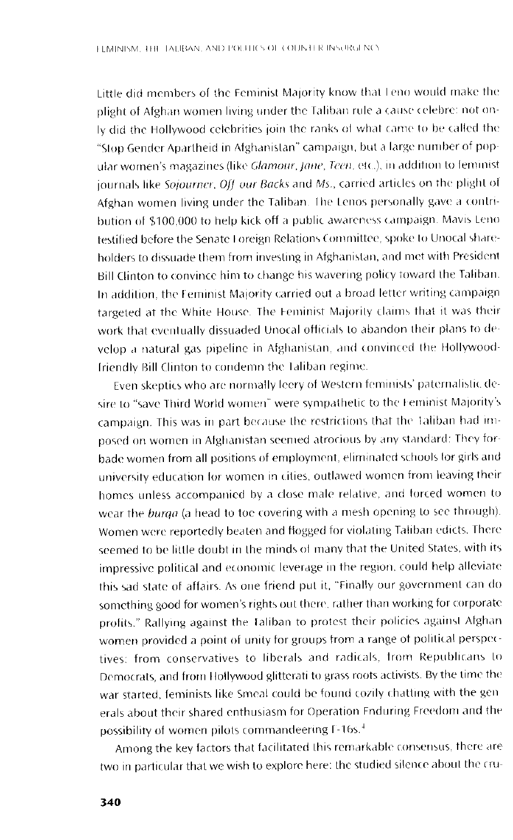Little did members of the Feminist Majority know that Leno would make the pligbt of Afgban women living under tbe Taliban rule a cause (elebre: not only did the Hollywood celebrities |oin tbe ranks ol what came to be called tbe "Stop Gender Apartheid in Afghanislan" campaign, but a large number of popular women's magazines (like *Glamour, Jane, Teen*, etc.), in addition to leminist journals like Sojourner, Off our Backs and Ms., carried articles on the plight of Afghan women living under the Taliban. The Lenos personally gave a contribution ot '&1OO,aOO to help kick off a [jublic awareness campaign. Mavis Leno testified before the Senate Foreign Relations Committee, spoke to Unocal shareholders to dissuade them from investing in Afghanistan, and met with President Bill Clinton to convince bim to cbange his wavering policy toward tbe Taliban. In addition, the Feminist Majority carried out a broad letter writing campaign targeted at the White House. The Feminist Majority claims that it was their work that eventually dissuaded Unocal officials to abandon their plans to develop a natural gas pipeline in Afghanistan, and convinced the Hollywood-Iriendly Bill Clinton to condemn the Taliban regime.

Even skeptics who are normally leery of Western feminists' paternalistic desire to "save Third World women" were sympathetic to the Feminist Majority's campaign. This was in part because the restrictions that the Taliban had imposed on women in Afgbanistan seemed atrocious by any standard: Tbey forbade women from all positions of employment, eliminated schools for girls and university education for women in cities, outlawed women from leaving their bomes unless accompanied by a close male relative, and forced women to wear the burga (a head to toe covering with a mesh opening to see through). Women were reportedly beaten and flogged for violating Taliban edicts. There seemed to be little doubt in the minds of many that the United States, with its impressive political and economic leverage in the region, could help alleviate tbis sad state of affairs. As one friend put it, "Finally our government can do something good for women's rights out there, rather than working for corporate profits." Rallying against the Taliban to protest their policies against Afghan women provided a point of unity for groups trom a range of political perspectives: from conservatives to liberals and radicals, trom Republicans to Democrats, and from Hollywood glitterati to grass roots activists. By tbe time tbe war started, feminists like Smeal could be found cozily chatting with the generals about their shared enthusiasm for Operation Fnduring Freedom and the possibility of women pilots commandeering  $F-16s$ ,<sup> $+$ </sup>

Among the key factors that facilitated this remarkable consensus, there are two in particular that we wish to explore here: the studied silence about the cru-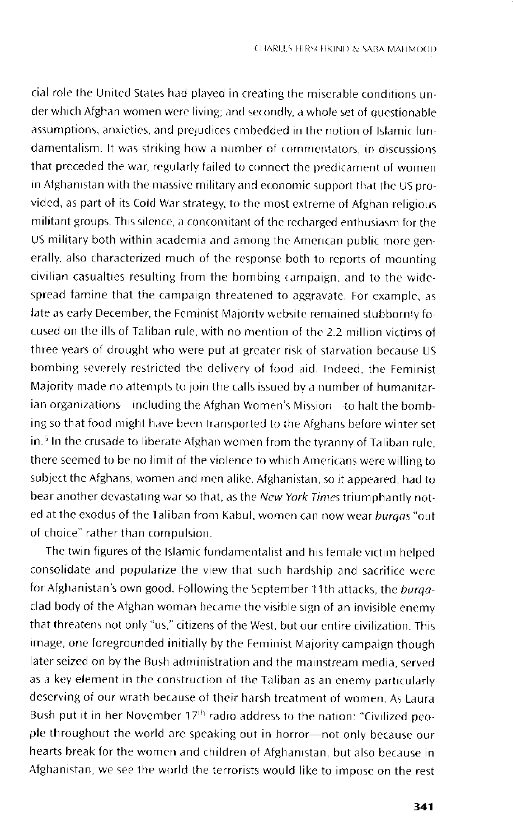cial role tbe United States bad played in creating the miserable conditions under which Afgban women were living; and secondly, a wboie set of questionable assumptions, anxieties, and prejudices embedded in the notion of Islamic fundamentalism. It was striking how a number of commentators, in discussions that preceded the war, regularly failed to connect the predicament of women in Afghanistan with the massive military and economic support that the US provided, as part of its Cold War strategy, to the most extreme of Afgban religious militant groups. This silence, a concomitant of the recharged entbusiasm for tbe US military both within academia and among the American public more generally, also characterized much of the response both to reports of mounting civilian casualties resulting from tbe bombing campaign, and to tbe widespread famine tbat the campaign threatened to aggravate. For example, as late as early December, the Feminist Majority website remained stubbornly focused on tbe ills of Taliban rule, witb no mention of tbe 2,2 million victims of three years of drought who were put at greater risk of starvation because US bombing severely restricted the delivery of food aid. Indeed, the Feminist Majority made no attempts to join the calls issued by a number of humanitarian organizations including the Afghan Women's Mission  $\pm$  to halt the bombing so that food might have been transported to the Afghans before winter set in.<sup>5</sup> In the crusade to liberate Afghan women from the tyranny of Taliban rule, there seemed to be no limit of the violence to which Americans were willing to subject the Afghans, women and men alike. Afghanistan, so it appeared, had to bear another devastating war so that, as the *New York Times* triumphantly noted at the exodus of the Taliban from Kabul, women can now wear burgas "out of choice" rather than compulsion.

The twin figures of tbe Islamic fundamentalist and bis female victim helped consolidate and popularize the view that such hardship and sacrifice were for Afghanistan's own good. Following the September 11th attacks, the *burga*clad body of the Afghan woman became the visible sign of an invisible enemy that threatens not only "us," citizens of the West, but our entire civilization. This image, one foregrounded initially by tbe Feminist Majority campaign though later seized on by the Bush administration and the mainstream media, served as a key element in the construction of tbe Taliban as an enemy particularly deserving of our wrath because of their harsh treatment of women. As Laura Bush put it in her November 17<sup>th</sup> radio address to the nation: "Civilized people throughout the world are speaking out in horror—not only because our hearts break for the women and children of Afghanistan, but also because in Afghanistan, we see the world the terrorists would like to impose on the rest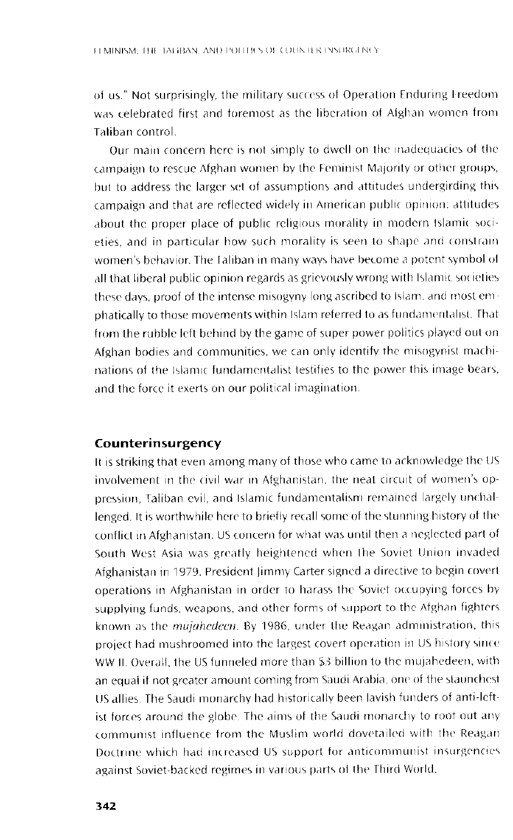oi US," Not surprisingly, the military success of Operation Fnduring I reedom was celebrated first and foremost as the liberation of Afghan women from Taliban control.

Our main concern here is not simply to dwell on the inadequacies of the campaign to rescue Afghan women by the Feminist Majority or other groups, but to address the larger set of assumptions and attitudes undergirding this campaign and tbat are reflected widely in American public opinion: attitudes about the proper place of public religious morality in modern Islamic societies, and in particular how such morality is seen to shape and constrain women's behavior. Ihe laliban in many ways have become a potent symbol ol all that liberal public opinion regards as grievously wrong with Islamic societies these days, proof of the intense misogyny long ascribed to Islam, and most emiphatically to those movements witbin Islam referred to as fundamentalist, Fbat from the rubble left behind by the game of super power politics played out on Afghan bodies and communities, we can only identifv tbe misogynist macbinations of the Islamic fundamentalist testifies to the power this image bears, and the force it exerts on our political imagination.

#### Counterinsurgency

It is striking that even among many of those who came to acknowledge the US involvement in the civil war in Afghanistan, the neat circuit of women's oppression. Taliban evil, and Islamic fundamentalism remained largely unchallenged. It is worthwhile here to briefly recall some of the stunning history of the conflict in Afgbanistan, US concern for what was until then a neglected part of South West Asia was greatly heightened when the Soviet Union invaded Afghanistan in 1979, President jimmy Carter signed a directive to begin coverl operations in Afgbanistan in order to harass tbe Soviet occupying forces by supplying funds, weapons, and other forms of support to the Afghan fighters known as the *mujahedeen.* By 1986, under the Reagan administration, this project had mushroomed into the largest covert operation in US history since WW II, Overall, the US funneled more than \$3 billion to the mujahedeen, with an equal if not greater amount coming from Saudi Arabia, one of the staunchest tJS allies. Tbe Saudi monarcby bad historically been lavish funders of anti-leftist forces around the globe. The aims of the Saudi monarchy to root out any communist influence from the Muslim world dovetailed witb tbe Reagan Doctrine wbich had increased US support ior anticommunist insurgencies against Soviet-backed regimes in various parts of the Third World.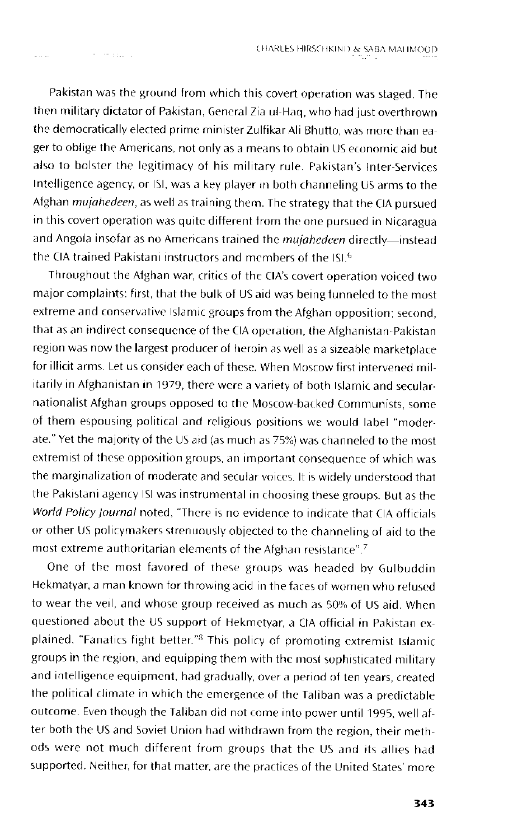Pakistan was the ground from which this covert operation was staged. The then military dictator of Pakistan, General Zia ul-Haq, who had just overthrown the democratically elected prime minister Zulfikar Ali Bhutto, was more than eager to oblige the Americans, not only as a means to obtain US economic aid but also to bolster the legitimacy of his military rule. Pakistan's Inter-Services Intelligence agency, or ISI, was a key player in both channeling US arms to the Afghan *mujahedeen*, as well as training them. The strategy that the CIA pursued in this covert operation was quite different from the one pursued in Nicaragua and Angola insofar as no Americans trained the *mujahedeen* directly—instead the CIA trained Pakistani instructors and members of the ISI. $^6$ 

 $\gamma^2$  and  $\gamma$ 

Throughout the Afghan war, critics of the CIA's covert operation voiced two major complaints: first, that the bulk of US aid was being funneled to the most extreme and conservative Islamic groups from the Afghan opposition; second, that as an indirect consequence of the CIA operation, the Afghanistan-Pakistan region was now the largest producer of heroin as well as a sizeable marketplace for illicit arms. Let us consider each of these. When Moscow first intervened militarily in Afghanistan in 1979, there were a variety of both Islamic and secularnationalist Afghan groups opposed to the Moscow-backed Communists, some of them espousing political and religious positions we would label "moderate," Yet the majority of the US aid (as much as 75%) was channeled to the most extremist of these opposition groups, an important consequence of which was themarginalization of moderate and secular voices. It is widely understood that the Pakistani agency ISI was instrumental in choosing these groups. But as the World Policy Journal noted, "There is no evidence to indicate that CIA officials or other US policymakers strenuously objected to the channeling of aid to the most extreme authoritarian elements of the Afghan resistance".<sup>7</sup>

One of the most favored of these groups was headed by Gulbuddin Hekmatyar, a man known for throwing acid in the faces of women who refused to wear the veil, and whose group received as much as 50% of US aid. When questioned about the US support of Hekmetyar, a CIA official in Pakistan explained. "Fanatics fight better."<sup>8</sup> This policy of promoting extremist Islamic groups in the region, and equipping them with the most sophisticated military and intelligence equipment, had gradually, over a period of ten years, created the political climate in which the emergence of the Taliban was a predictable outcome. Even though the Taliban did not come into power until 1995, well after both the US and Soviet Union had withdrawn from the region, their methods were not much different from groups that the US and its allies had supported. Neither, for that matter, are the practices of the United States' more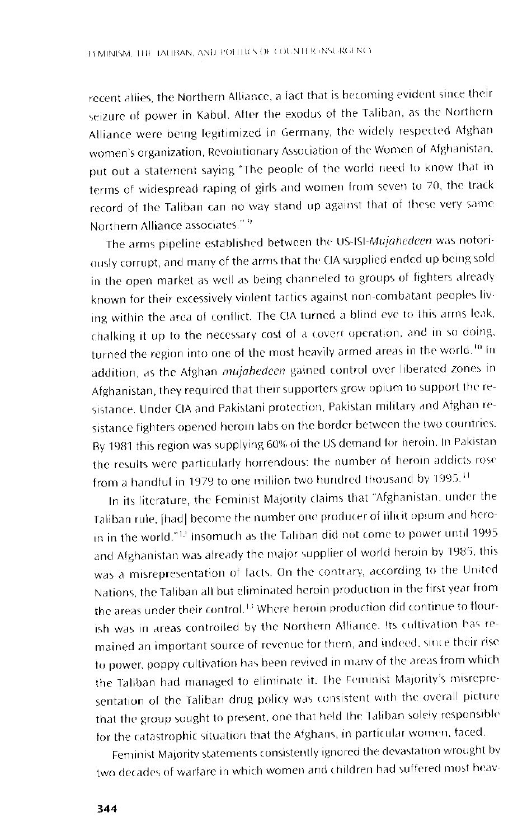recent allies, the Northern Alliance, a fact that is becoming evident since their seizure of power in Kabul. After the exodus of the Taliban, as the Northern Alliance were being legitimized in Germany, the widely respected Afghan women's organization, Revolutionary Association of the Women of Afghanistan, put out a statement saying "The people of the world need to know that in terms of widespread raping ot girls and women Irom seven to 70, the track record of the Taliban can no way stand up against that of these very same Northern Alliance associates,"''

The arms pipeline established between the US-ISI-Mujahedeen was notoriously corrupt, and many of the arms that the CIA supplied ended up being sold in the open market as well as being channeled to groups ot tighters already known for their excessively violent tactics against non-combatant peoples living within the area ol contlict. The CIA turned a blind eve to Ihis arms leak, chalking it up to the necessary cost ot a covert operation, and in so doing, turned the region into one of the most heavily armed areas in the world.<sup>10</sup> in addition, as the Afghan *mujahedeen* gained control over liberated zones in Afghanistan, they required that their supporters grow opium to support the resistance. Under CIA and Pakistani protection, Pakistan military and Afghan resistance fighters opened heroin labs on the border between the two countries. By 1981 this region was supplying 60% of the US demand for heroin. In Pakistan the results were particularly horrendous: the number of heroin addicts rose from a handful in 1979 to one million two hundred thousand by 1995.<sup>11</sup>

In its literature, the Feminist Majority claims that "Afghanistan, under the Taliban rule, [had] become the number one producer of illicit opium and heroin in the world."<sup>12</sup> Insomuch as the Taliban did not come to power until 1995 and Atghanistan was already the major supplier ot world heroin by 198S, this was a misrepresentation of tacts. On the contrary, according to the United Nations, the Taliban all but eliminated heroin production in the tirst year trom the areas under their control.<sup>13</sup> Where heroin production did continue to flourish was in areas controlled by the Northern Alliance, Its cultivation has remained an important source of revenue for them, and indeed, since their rise to power, poppy cultivation has been revived in many ot the areas trom which the Taliban had managed to eliminate it, Ihe Feminist Majority's misrepresentation of the Taliban drug policy was consistent with the overall picture that the group sought to present, one that held the Ialiban solely responsible tor the catastrophic situation that the Afghans, in particular women, taced.

Feminist Majority statements consistently ignored the devastation wrought bv two decades of warfare in which women and children had suffered most heav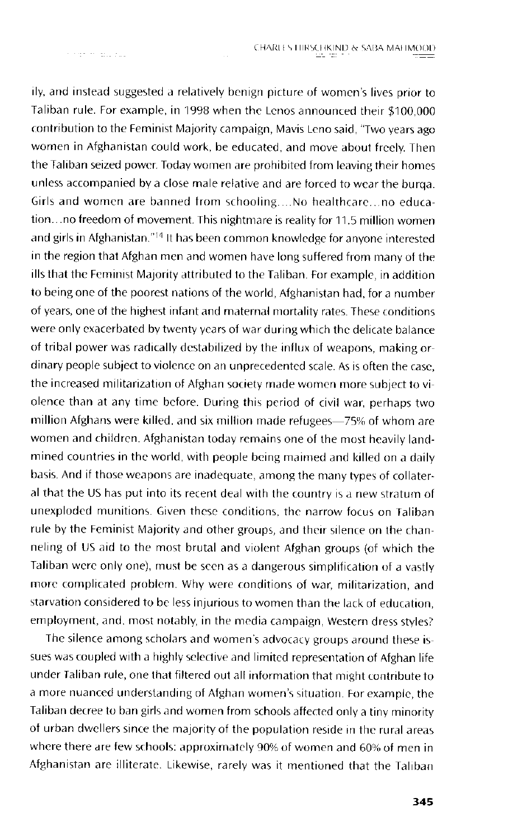ing the marked

ily, and instead suggested a relatively benign picture of women's lives prior to Taliban rule. For example, in 1998 when the Lenos announced their \$100,000 contribution to the Feminist Majority campaign, Mavis Leno said, "Two years ago women in Afghanistan could work, be educated, and move about freely. Then the Taliban seized power. Today women are prohibited from leaving their homes unless accompanied by a close male relative and are forced to wear the burqa. Girls and women are banned from schooling....No healthcare,,.no education.,, no freedom of movement. This nightmare is reality for 11.5 million women and girls in Afghanistan."<sup>14</sup> It has been common knowledge for anyone interested in the region that Afghan men and women have long suffered from many of the ills that the Feminist Majority attributed to the Taliban. Fur example, in addition to being one of the poorest nations of the world, Afghanistan had, for a number of years, one of the highest infant and maternal mortality rates. These conditions were only exacerbated by twenty years of war during which the delicate balance of tribal power was radically destabilized by the influx of weapons, making ordinary people subject to violence on an unprecedented scale. As is often the case, the increased militarization of Afghan society made women more subject to violence than at any time before. During this period of civil war, perhaps two million Afghans were killed, and six million made refugees—75% of whom are women and children. Afghanistan today remains one of the most heavily landmined countries in the world, with people being mains one of and most meaning and basis. And if the many that people weily manufactured and will a daily basis. And if those weapons are inadequate, among the many types of collateral that the US has put into its recent deal with the country is a new stratum of unexploded munitions. Given these conditions, the narrow focus on Taliban rule by the Feminist Majority and other groups, and their silence on the channeling of US aid to the most brutal and violent Afghan groups (of which the Taliban were only one), must be seen as a dangerous simplification of a vastly more complicated problem. Why were conditions of war, militarization, and starvation considered to be less injurious to women than the lack of education. employment, and, most notably, in the media campaign, Western dress styles?

The silence among scholars and women's advocacy groups around these issues was coupled with a highly selective and limited representation of Afghan life under Taliban rule, one that filtered out all information that might contribute to a more nuanced understanding of Afghan women's situation. For example, the Taliban decree to ban girls and women from schools affected only a tiny minority of urban dwellers since the majority of the population reside in the rural areas where there are few schools: approximately 90% of women and 60% of men in Afghanistan are illiterate. Likewise, rarely was it mentioned that the Taliban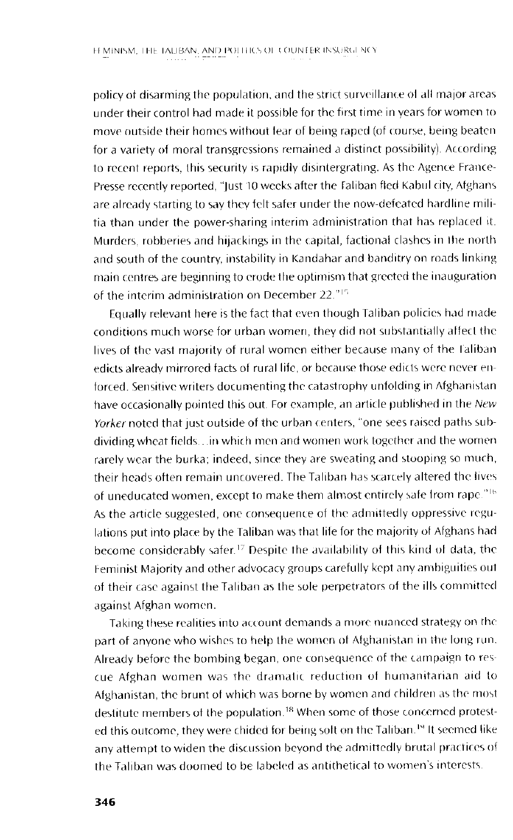policy of disarming the population, and the strict surveillance of all major areas under their control had made it possible for the first time in years for women to move outside their homes without fear of being raped (of course, being beaten for a variety of moral transgressions remained a distinct possibility). According to recent reports, this security is rapidly disintergrating. As the Agence Franco-Presse recently reported, "Just 10 weeks after the Taliban fled Kabul city. Afghans are already starting to say they felt safer under the now-defeated hardline militia than under the power-sharing interim administration that has replaced it. Murders, robberies and hijackings in the capital, factional clashes in Ihe north and south of the country, instability in Kandahar and banditry on roads linking main centres are beginning to erode the optimism that greeted the inauguration of the interim administration on December 22. $"$ <sup>15</sup>.

Equally relevant here is the fact that even though Taliban policies had made conditions much worse for urban women, they did not substantially affect the lives of the vast majority of rural women either because many of the laliban edicts already mirrored facts of rural life, or because those edicts were never enforced. Sensitive writers documenting the catastrophy unfolding in Afghanistan have occasionally pointed this out. For example, an article published in the New Yorker noted that just outside of the urban centers, "one sees raised paths subdividing wheat fields,..in which men and women work together and the women rarely wear the burka; indeed, since they are sweating and stooping so much, their heads often remain uncovered. The Taliban has scarcely altered the lives of uneducated women, except to make them almost entirely sale Irom rape.""' As the article suggested, one consequence of the admittedly oppressive regulations put into place by the Taliban was that life for the majority of Afghans had become considerably safer.<sup>17</sup> Despite the availability of this kind of data, the l-eminist Majority and other advocacy groups carefully kept any ambiguities out of tfieir case against the Taliban as the sole perpetrators of the ills committed against Afghan women.

Taking these realities into account demands a more nuanced strategy on the part of anyone who wishes to help the women of Afghanistan in the long run. Already before the bombing began, one consequence of the campaign to rescue Afghan women was Ihe dramatic reduction of fiumanitarian aid to Afghanistan, the brunt of which was borne by women and children as the most destitute members of the population.<sup>18</sup> When some of those concerned protested this outcome, they were chided for being soft on the Taliban.<sup>19</sup> It seemed like any attempt to widen the discussion beyond the admittedly brutal practices of the Taliban was doomed to be labeled as antithetical to women's interests.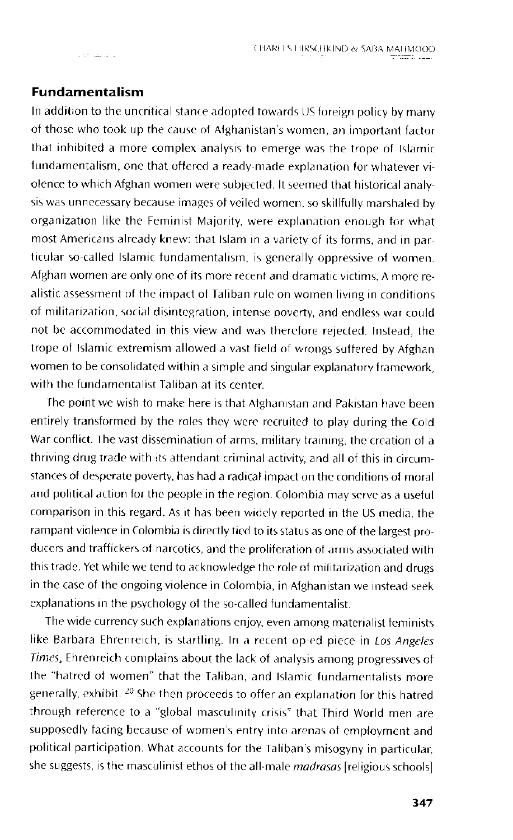$\mathbb{Z}^n$  and  $\mathbb{Z}^n$  .

## **Fundamentalism**

In addition to the uncritical stance adopted towards US foreign policy by many of those who took up the cause of Afghanistan's women, an important factor that inhibited a more complex analysis to emerge was the trope of Islamic fundamentalism, one that offered a ready made explanation for whatever violence to which Afghan women were subjected. It seemed that historical analysis was unnecessary because images of veiled women, so skillfully marsfialed by organization like the Feminist Majority, were explanation enough for what most Americans already knew: that Islam in a variety of its forms, and in particular so-called Islamic fundamentalism, is generally oppressive of women, Afghan women are only one of its more recent and dramatic victims. A more realistic assessment of the impact of Taliban rule on women living in conditions of militarization, social disintegration, intense poverty, and endless war could not be accommodated in this view and was therefore rejected. Instead, the trope of Islamic extremism allowed a vast field of wrongs suffered by Afghan women to be consolidated within a simple and singular explanatory framework, with the fundamentalist Taliban at its center.

The point we wish to make here is that Afghanistan and Pakistan have been entirely transformed by the roles they were recruited to play during the Cold War conflict. The vast dissemination of arms, military training, the creation of a thriving drug trade with its attendant criminal activity, and all of this in circumstances of desperate poverty, has had a radical impact on the conditions of moral and political action for the people in the region. Colombia may serve as a useful comparison in this regard. As it has been widely reported in the US media, the rampant violence in Colombia is directly tied to its status as one of the largest producers and traffickers of narcotics, and the proliferation of arms associated with thistrade. Yet while we tend to acknowledge the role of militarization and drugs in the case of the ongoing violence in Colombia, in Afghanistan we instead seek explanations in tbe psychology of the so-called fundamentalist.

The wide currency such explanations enjoy, even among materialist feminists like Barbara Ehrenreich, is startling. In a recent op-ed piece in Los Angeles Times, Ehrenreich complains about the lack of analysis among progressives of the "fiatred of women" that the Taliban, and Islamic fundamentalists more generally, exhibit.  $^{20}$  She then proceeds to offer an explanation for this hatred through reference to a "global masculinity crisis" that Third World men are supposedly facing because of women's entry into arenas of employment and political participation. What accounts for the Taliban's misogyny in particular, she suggests, is the masculinist ethos of the all-male *madrasas* [religious schools]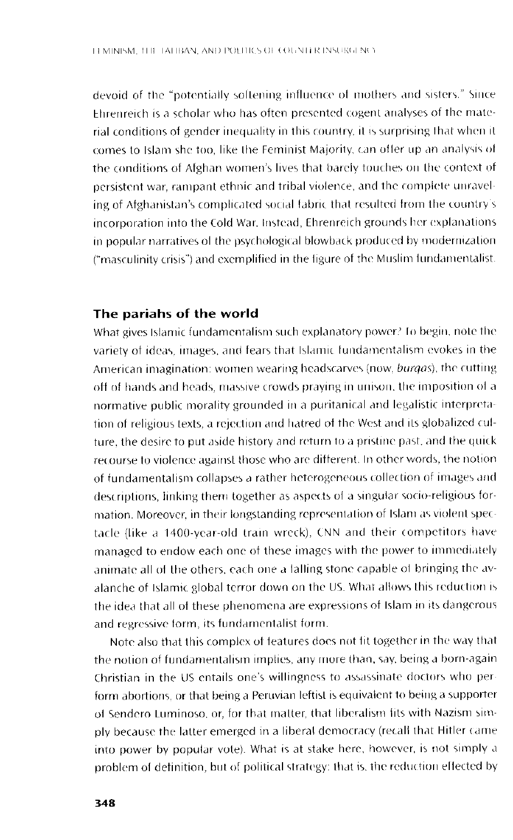devoid of the "potentially softening influence of mothers and sisters." Since Ehrenreich is a scholar who has often presented cogent analyses of the material conditions of gender inequality in this country, it is surprising that when it comes to Islam she too, like the Feminist Majority, can offer up an analysis of the conditions of Afghan women's lives that barely touches on the context of persistent war, rampant ethnic and tribal violence, and the complete unraveling of Afghanistan's complicated social fabric that resulted from the country's incorporation into the Cold War. Instead, Ehrenreich grounds her explanations in popular narratives of the psychological blowback produced by modernization ("masculinity crisis") and exemplified in the figure of the Muslim fundamentalist.

#### The pariahs of the world

What gives Islamic fundamentalism such explanatory power? To begin, note the variety of ideas, images, and fears that Islamic fundamentalism evokes in the American imagination: women wearing headscarves (now, burgas), the cutting off of hands and heads, massive crowds praying in unison, the imposition of a normative public morality grounded in a puritanical and legalistic interpretation of religious texts, a rejection and hatred of the West and its globalized culture, the desire to put aside history and return to a pristine past, and the quick recourse to violence against those who are different. In other words, the notion of fundamentalism collapses a rather heterogeneous collection of images and descriptions, linking them together as aspects of a singular socio-religious formation. Moreover, in their longstanding representation of Islam as violent spectacle (like a 1400-year-old train wreck), CNN and their competitors have managed to endow each one of these images with the power to immediately animate all of the others, each one a falling stone capable of bringing the avalanche of Islamic global terror down on the US. What allows this reduction is the idea that all of these phenomena are expressions of Islam in its dangerous and regressive form, its fundamentalist form.

Note also that this complex of features does not fit together in the way that the notion of fundamentalism implies, any more than, say, being a born-again Christian in the US entails one's willingness to assassinate doctors who perform abortions, or that being a Peruvian leftist is equivalent to being a supporter of Sendero Luminoso, or, for that matter, that liberalism fits with Nazism simply because the latter emerged in a liberal democracy (recall that Hitler came into power by popular vote). What is at stake here, however, is not simply a problem of definition, but of political strategy: that is, the reduction effected by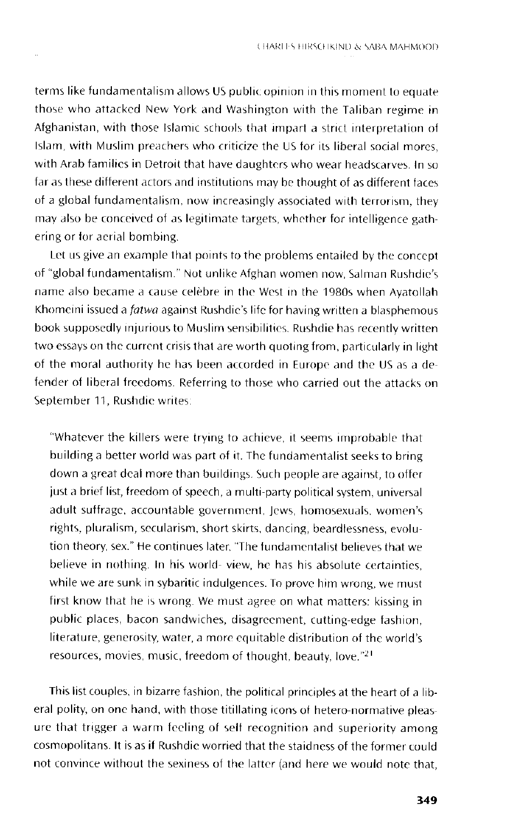terms like tundamentalism allows US public opinion in this moment to equate those who attacked New York and Washington with the Taliban regime in Afghanistan, with those Islamic schools that impart a strict interpretation of Islam, with Muslim preachers who criticize the US tor its liberal social mores, with Arab families in Detroit that have daughters who wear headscarves. In so far as these different actors and institutions may be thought of as different faces of a global fundamentalism, now increasingly associated with terrorism, they may also be conceived of as legitimate targets, whether for intelligence gathering or for aerial bombing.

Let us give an example that points to the problems entailed by the concept of "global fundamentalism." Not unlike Afghan women now, Salman Rushdie's name also became a cause celèbre in the West in the 1980s when Ayatollah Khomeini issued a *fatwa* against Rushdic's life for having written a blasphemous book supposedly injurious to Muslim sensibilities. Rushdie has recently written two essays on the current crisis that are worth quoting from, particularly in light of the moral authority be bas been accorded in Europe and the US as a defender of liberal freedoms. Referring to those who carried out the attacks on September 11, Rushdie writes:

"Wbatever the killers were trying to achieve, it seems improbable tbat building a better world was part of it. The fundamentalist seeks to bring down a great deal more than buildings. Such people are against, to offer just a brief list, freedom of speech, a multi-party political system, universal adult suffrage, accountable government, Jews, homosexuals, women's rights, pluralism, secularism, short skirts, dancing, beardlessness, evolution theory, sex." He continues later, "The fundamentalist believes that we believe in nothing. In bis world- view, he has his absolute certainties, while we are sunk in sybaritic indulgences. To prove him wrong, we must first know that he is wrong. We must agree on what matters: kissing in public places, bacon sandwiches, disagreement, cutting-edge fashion, literature, generosity, water, a more equitable distribution of the world's resources, movies, music, freedom of thought, beauty,

This list couples, in bizarre fashion, the political principles at the heart of a liberal polity, on one hand, with those titillating icons of hetero-normative pleasure tbat trigger a warm feeling of self recognition and superiority among cosmopolitans. It is as if Rushdie worried that the staidness of the former could not convince without the sexiness of the latter (and here we would note that,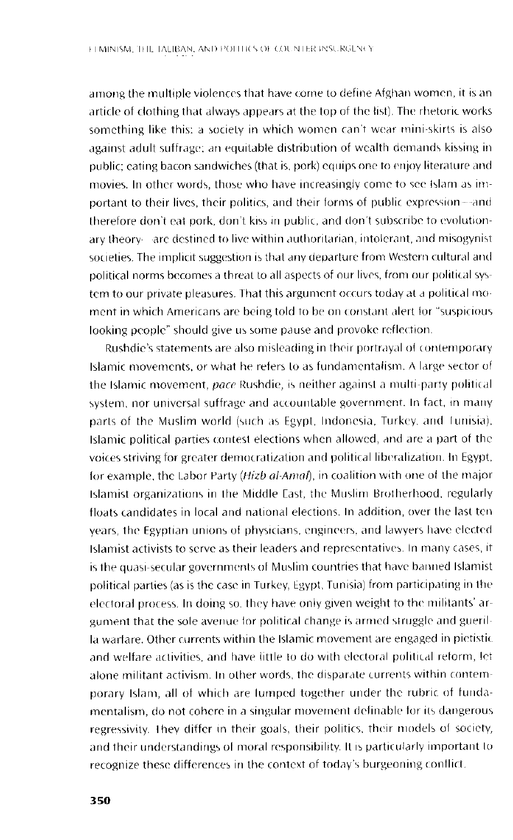among the multiple violences that have come to define Afghan women, it is an article of clothing that always appears at the top of the list). The rhetoric works something like this: a society in which women can't wear mini-skirts is also against adult suffrage; an equitable distribution of wealth demands kissing in public; eating bacon sandwiches (that is, pork) equips one to enjoy literature and movies. In other words, those who have increasingly comr to see Islam as important to their lives, their politics, and their forms of public expression—and therefore don't eat pork, don't kiss in public, and don't subscribe to evolutionary theory are destined to live within authoritarian, intolerant, and misogynist societies. The implicit suggestion is that any departure from Western cultural and political norms becomes a threat to all aspects of our lives, from our political system to our private pleasures. That this argument occurs today at a political moment in wbich Americans are being told to be on constant alert tor "suspicious looking people" should give us some pause and provoke reflection.

Rushdie's statements are alsu misleading in tboir portrayal ot contemporary Islamic movements, or what he refers to as fundamentalism. A large sector of the Islamic movement, *pace* Rushdie, is neither against a multi-party political system, nor universal suffrage and accountable government. In fact, in many parts of tbe Muslim world (sucb as Egypt, Indonesia, Turkey, and lunisia), Islamic political parties contest elections when allowed, and are a part of the voices striving for greater democratization and political liberalization. In Egypt, for example, the Labor Party (*Hizb al-Amal*), in coalition with one of the major Islamist organizations in the Middle East, the Muslim Brotherhood, regularly floats candidates in local and national elections. In addition, over the last ten years, the Egyptian unions of physicians, engineers, and lawyers have elected Islamist activists to serve as tbeir leaders and representatives. In many cases, it is the quasi-secular governments of Muslim countries that have banned Islamist political parties (as is the case in Turkey, Egypt, Tunisia) from participating in the electoral process. In doing so, they have only given weight to the militants' argument that the sole avenue lor political change is armed struggle and guerilla warfare. Other currents witfiin the Islamic movement are engaged in pietistit and welfare activities, and have little to do with electoral political reform, let alone militant activism. In otber words, the disparate currents witbin contemporary Islam, all of whicb are lumpc^d together under the rubric of fundamentalism, do not cobcre in a singular movement definable for its dangerous regressivity. I hey differ in tbeir goals, their politics, their models of society, and their understandings of moral responsibility. It is particularly important to recognize these differences in the context of today's burgeoning conflict.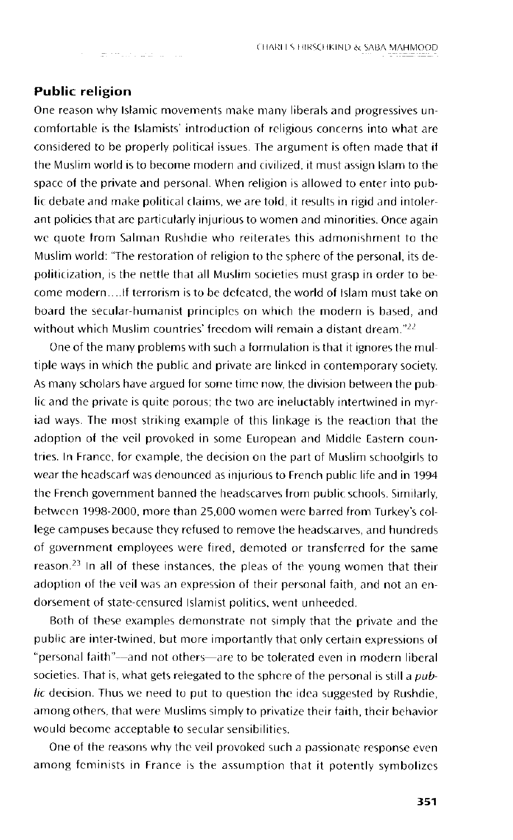### Public religion

are remained and concern

One reason why Islamic movements make many liberals and progressives uncomfortable is the Islamists' introduction of religious concerns into what are considered to be properly political issues. The argument is often made that it the Muslim world is to become modern and civilized, it must assign Islam to the space of the private and personal. When religion is allowed to enter into public debate and make political claims, we are told, it results in rigid and intolerant policies that are particularly injurious to women and minorities. Once again we quote from Salman Rushdie who reiterates this admonishment to the Muslim world; "The restoration of religion to the sphere of the personal, its depoliticization, is the nettle that all Muslim societies must grasp in order to become modern....If terrorism is to be defeated, the world of Islam must take on board the secular-humanist principles on which the modern is based, and without which Muslim countries' freedom will remain a distant dream." $^{22}$ 

One of the many problems wilh such a formulafion is that it ignores the multiple ways in which the public and private are linked in contemporary society. As many scholars have argued for some time now, the division between the public and the private is quite porous; the two are ineluctably intertwined in myriad ways. The most striking example of this linkage is the reaction that the adoption of the veil provoked in some European and Middle Eastern countries. In France, for example, the decision on the part of Muslim schoolgirls to wear the headscarf was denounced as injurious to French public life and in 1994 the French government banned the headscarves from public schools. Similarly, between 1998-2000, more than 25,000 women were barred from Turkey's college campuses because they refused to remove the headscarves, and hundreds of government employees were fired, demoted or transferred for the same reason.<sup>23</sup> In all of these instances, the pleas of the young women that their adoption of fhe veil was an expression of their personal faith, and not an endorsement of state-censured Islamist politics, went unheeded.

Both of these examples demonstrate not simply that the private and the public are inter-twined, but more importantly that only certain expressions of "personal faith"—and not others—are to be tolerated even in modern liberal societies. That is, what gets relegated to the sphere of the personal is still a *pub*lic decision. Thus we need to put to question the idea suggested by Rushdie, among others, that were Muslims simply to privatize their faith, their behavior would become acceptable to secular sensibilities.

One of the reasons why the veil provoked such a passionate response even among feminists in France is the assumption that it potently symbolizes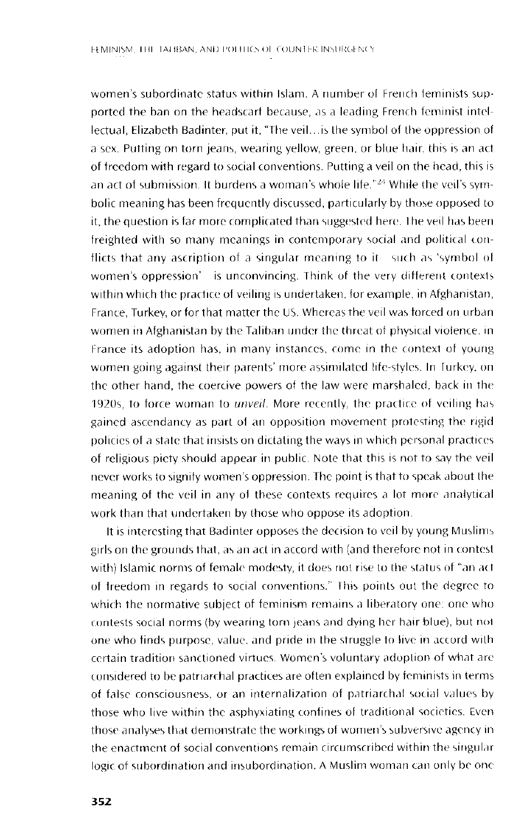women's subordinate status within Islam. A number of French leminists supported the ban on the headscarf because, as a leading French feminist intel $l$ ectual, Elizabeth Badinter, put it. "The veil... is the symbol of the oppression of a sex. Putting on torn jeans, wearing yellow, green, ur blue hair, this is an act of freedom with regard to social conventions. Putting a veil on the head, this is an act of submission. It burdens a woman's whole life,"<sup>24</sup> While the veil's symbolic meaning has been frequently discussed, particularly by those opposed to it, the question is far more complicated than suggested here. The veil has been freighted with so many meanings in contemporary social and political conflicts that any ascription of a singular meaning to it such as 'symbol of women's oppression' is unconvincing. Think of the very different contexls within which the practice of veiling is undertaken, for example, in Afgbanistan, France, Turkey, or for that matter the US. Whereas the veil was forced on urban women in Afghanistan by the Taliban under the threat of physical violence, in France its adoption has, in many instances, come in the context of young women going against tbeir parents' more assimilated life-styles. In lurkey. on the other hand, the coercive powers of the law were marshaled, back in the 1920s, to force woman to *unveil*. More recently, the practice of veiling has gained ascendancy as part of an opposition movement protesting tbe rigid policies of a state that insists on dictating the ways in which personal practices of religious piety share and minimum and distances are the public that the vertice presented production or rengious press should uppear in paisher soce and absorption to say the ren never works to signify women's oppression. The point is that to speak about the meaning of the veil in any of these contexts requires a lot more analytical work than that undertaken by those who oppose its adoption.

It is interesting that Badinter opposes the decision to veil by young Muslims girls on the grounds that, as an act in accord with (and therefore not in contest with) Islamic norms of female modesty, it does not rise to the status of "an act of freedom in regards to social conventions." This points out the degree to which the normative subject of feminism remains a liberatory one: one who contests social norms (by wearing torn jeans and dying her hair blue), but nol one who finds purpose, value, and pride in the struggle to live in accord with certain tradition sanctioned virtues. Women's voluntary adoption of what are considered to be patriarchal practices are often explained by feminists in terms of false consciousness, or an Internallzation of patriarchal social values by those who live within the asphyxiating confines of traditional societies. Even those analyses tbat demonstrate the workings of women's subversive agency in the enactment of social conventions remain circumscribed within the singular logic of subordination and insubordination. A Muslim woman can only be one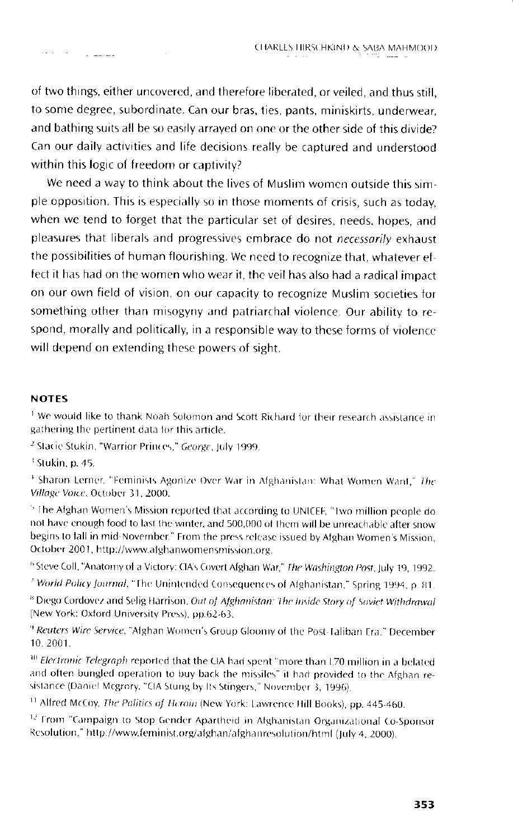of two things, either uncovered, and therefore liberated, or veiled, and thus still, to some degree, subordinate. Can our bras, ties, pants, miniskirts, underwear, and bathing suits all be so easily arrayed on one or tbe other side of this divide? Can our daily activities and life decisions really be captured and understood within this logic of freedom or captivity?

We need a way to think about the lives of Muslim women outside this simple opposition. This is especially so in those moments of crisis, such as today, when we tend to forget that the particular set of desires, needs, hopes, and pleasures that liberals and progressives embrace do not necessarily exhaust the possibilities of human flourishing. We need to recognize that, whatever effect it has had on the women who wear it, the veil has also had a radical impact on our own field of vision, on our capacity to recognize Muslim societies for something other than misogyny and patriarchal violence. Our ability to respond, morally and politically, in a responsible way to these forms of violence will depend on extending these powers of sight.

#### **NOTES**

 $<sup>1</sup>$  We would like to thank Noah Solomon and Scott Richard for their research assistance in</sup> gathering the pertinent data for this article.

 $2$  Stacie Stukin, "Warrior Princes," George, July 1999.

' Stukin, p. 4S.

and the state of the manager.

<sup>4</sup> Sharon Lerner, "Feminists Agonize Over War in Afghanistan: What Women Want," The Village Voice. October 31, 2000.

<sup>5</sup> The Afghan Women's Mission reported that according to UNICEF, "Iwo million people do not have enough food to last the winter, and 500,000 of them will be unreachable after snow begins to fall in mid-November." From the press release issued by Afghan Women's Mission, October 2001, http://www.afghanwomensmission.org,

<sup>6</sup> Steve Coll, "Anatomy of a Victory: CIA's Covert Afghan War," The Washington Post, July 19, 1992.

 $^{\prime}$  World Policy Journal. "The Unintended Consequences of Afghanistan," Spring 1994, p. 81.

<sup>8</sup> Diego Cordovez and Selig Harrison, Out of Afghanistan: The Inside Story of Soviet Withdrawal (New York: Oxford University Press), pp.62-63.

<sup>9</sup> Reuters Wire Service. "Afghan Women's Group Gloomy of the Post-Taliban Era," December 10.2001.

<sup>10</sup> Electronic Telegraph reported that the CIA had spent "more than L70 million in a belated and often bungled operation to buy back the missiles" it had provided to the Afghan resistance (Daniel Mcgrory. "CIA Stung by Its Stingers," November 3, 1996).

<sup>11</sup> Alfred McCoy, The Politics of Heroin (New York: Lawrence Hill Books), pp. 445-460.

<sup>12</sup> From "Campaign to Stop Gender Apartheid in Afghanistan Organizational Co-Sponsor Resolution," http://www.feminist.org/afghan/afghanresolution/html (July 4, 2000).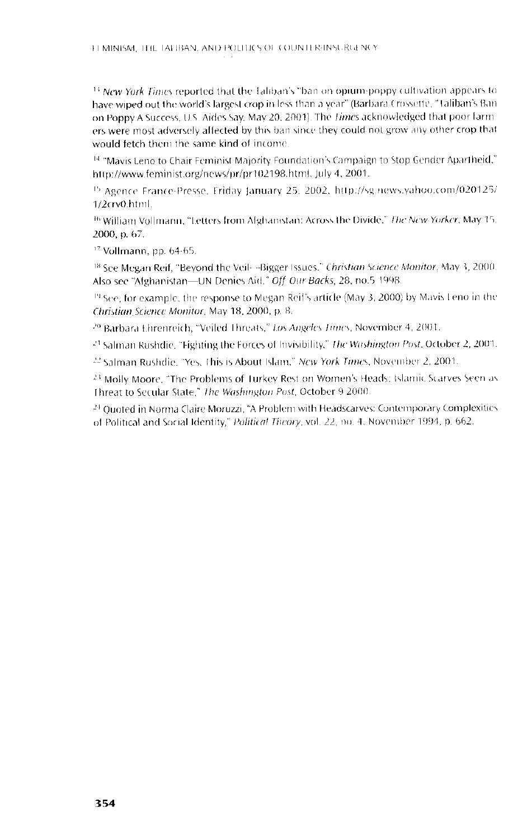<sup>13</sup> New York Times reported that the Taliban's "ban on opium-poppy cultivation appears to have wiped out the world's largest crop in less than a year" (Barbara Crossette, "Taliban's Banon Poppy A Success, U.S. Aides Say, May 20, 2001). The *Times* acknowledged that poor farm ers were most adversely affected by this ban since they could not grow any other crop that would fetch them the same kind of income.

<sup>14</sup> "Mavis Leno to Chair Feminist Majority Foundation's Campaign to Stop Gender Apartheid," http://www.feminist.org/news/pr/pr102198.html, July 4, 2001.

<sup>15</sup> Agence France-Presse, Friday January 25, 2002, http://sg.news.yahoo.com/020125/ 1/2crv0.html.

<sup>16</sup> William Vollmann, "Letters from Afghanistan: Across the Divide," The New Yorker, May 15. 2000, p. 67.

<sup>17</sup> Vollmann, pp. 64-65.

<sup>18</sup> See Megan Reif, "Beyond the Veil---Bigger Issues." Christian Science Monitor, May 3, 2000. Also see "Afghanistan-UN Denies Aid," Off Our Backs, 28, no.5 1998.

<sup>19</sup> See, for example, the response to Megan Reif's article (May 3, 2000) by Mavis Leno in the Christian Science Monitor, May 18, 2000, p. 8.

<sup>20</sup> Barbara Ehrenreich, "Veiled Threats," Los Angeles Times, November 4, 2001.

<sup>21</sup> Salman Rushdie, "Fighting the Forces of Invisibility," *The Washington Post*, October 2, 2001.

<sup>22</sup> Salman Rushdie, "Yes. This is About Islam," New York Times, November 2, 2001.

<sup>23</sup> Molly Moore, "The Problems of Turkey Rest on Women's Heads; Islamic Scarves Seen as Threat to Secular State," The Washington Post, October 9 2000.

<sup>24</sup> Ouoted in Norma Claire Moruzzi, "A Problem with Headscarves: Contemporary Complexities of Political and Social Identity," Political Theory, vol. 22, no. 4, November 1994, p. 662.